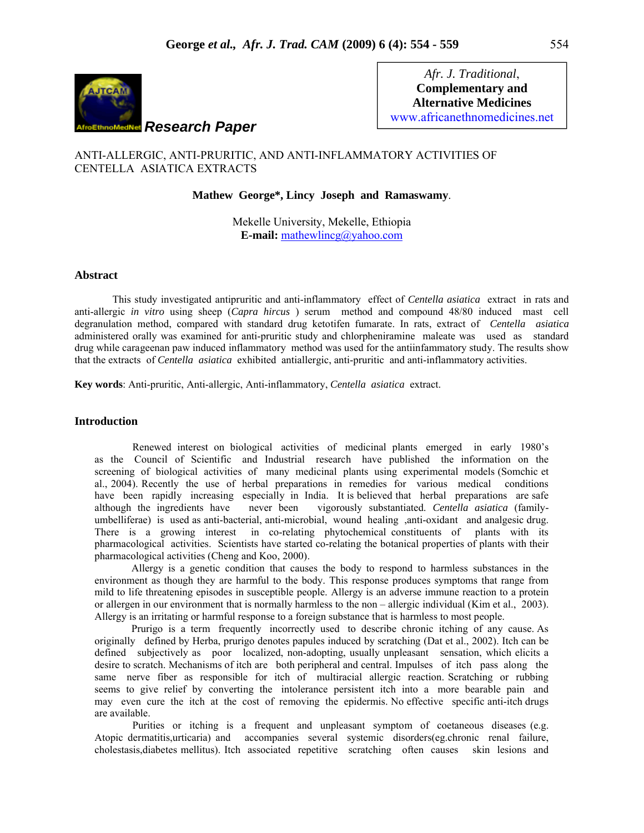

*Afr. J. Traditional*, **Complementary and Alternative Medicines** www.africanethnomedicines.net

# ANTI-ALLERGIC, ANTI-PRURITIC, AND ANTI-INFLAMMATORY ACTIVITIES OF CENTELLA ASIATICA EXTRACTS

#### **Mathew George\*, Lincy Joseph and Ramaswamy**.

Mekelle University, Mekelle, Ethiopia **E-mail:** mathewlincg@yahoo.com

#### **Abstract**

This study investigated antipruritic and anti-inflammatory effect of *Centella asiatica* extract in rats and anti-allergic *in vitro* using sheep (*Capra hircus* ) serum method and compound 48/80 induced mast cell degranulation method, compared with standard drug ketotifen fumarate. In rats, extract of *Centella asiatica*  administered orally was examined for anti-pruritic study and chlorpheniramine maleate was used as standard drug while carageenan paw induced inflammatory method was used for the antiinfammatory study. The results show that the extracts of *Centella asiatica* exhibited antiallergic, anti-pruritic and anti-inflammatory activities.

**Key words**: Anti-pruritic, Anti-allergic, Anti-inflammatory, *Centella asiatica* extract.

## **Introduction**

Renewed interest on biological activities of medicinal plants emerged in early 1980's as the Council of Scientific and Industrial research have published the information on the screening of biological activities of many medicinal plants using experimental models (Somchic et al., 2004). Recently the use of herbal preparations in remedies for various medical conditions have been rapidly increasing especially in India. It is believed that herbal preparations are safe although the ingredients have never been vigorously substantiated. *Centella asiatica* (familyumbelliferae) is used as anti-bacterial, anti-microbial, wound healing ,anti-oxidant and analgesic drug. There is a growing interest in co-relating phytochemical constituents of plants with its pharmacological activities. Scientists have started co-relating the botanical properties of plants with their pharmacological activities (Cheng and Koo, 2000).

 Allergy is a genetic condition that causes the body to respond to harmless substances in the environment as though they are harmful to the body. This response produces symptoms that range from mild to life threatening episodes in susceptible people. Allergy is an adverse immune reaction to a protein or allergen in our environment that is normally harmless to the non – allergic individual (Kim et al., 2003). Allergy is an irritating or harmful response to a foreign substance that is harmless to most people.

Prurigo is a term frequently incorrectly used to describe chronic itching of any cause. As originally defined by Herba, prurigo denotes papules induced by scratching (Dat et al., 2002). Itch can be defined subjectively as poor localized, non-adopting, usually unpleasant sensation, which elicits a desire to scratch. Mechanisms of itch are both peripheral and central. Impulses of itch pass along the same nerve fiber as responsible for itch of multiracial allergic reaction. Scratching or rubbing seems to give relief by converting the intolerance persistent itch into a more bearable pain and may even cure the itch at the cost of removing the epidermis. No effective specific anti-itch drugs are available.

Purities or itching is a frequent and unpleasant symptom of coetaneous diseases (e.g. Atopic dermatitis,urticaria) and accompanies several systemic disorders(eg.chronic renal failure, cholestasis,diabetes mellitus). Itch associated repetitive scratching often causes skin lesions and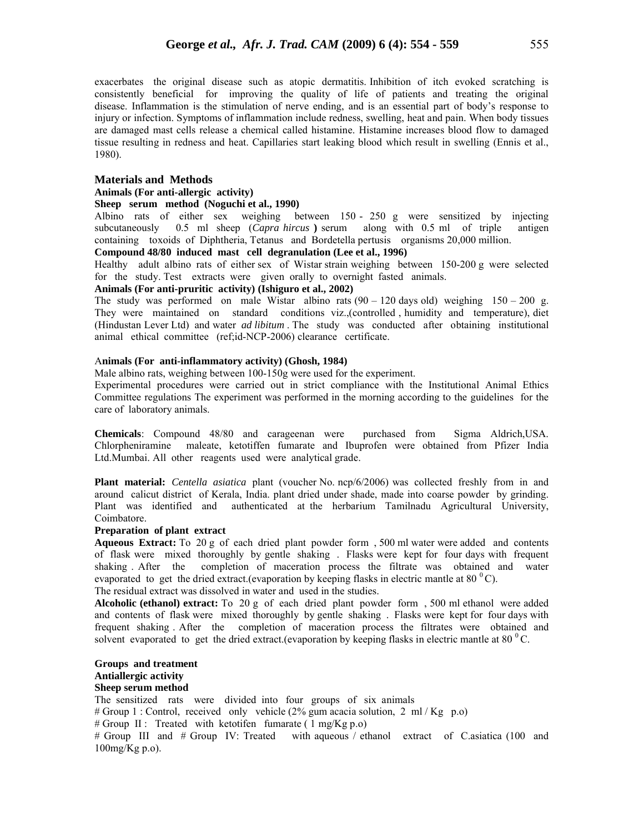exacerbates the original disease such as atopic dermatitis. Inhibition of itch evoked scratching is consistently beneficial for improving the quality of life of patients and treating the original disease. Inflammation is the stimulation of nerve ending, and is an essential part of body's response to injury or infection. Symptoms of inflammation include redness, swelling, heat and pain. When body tissues are damaged mast cells release a chemical called histamine. Histamine increases blood flow to damaged tissue resulting in redness and heat. Capillaries start leaking blood which result in swelling (Ennis et al., 1980).

#### **Materials and Methods**

#### **Animals (For anti-allergic activity)**

#### **Sheep serum method (Noguchi et al., 1990)**

Albino rats of either sex weighing between 150 - 250 g were sensitized by injecting subcutaneously 0.5 ml sheep (*Capra hircus* **)** serum along with 0.5 ml of triple antigen containing toxoids of Diphtheria, Tetanus and Bordetella pertusis organisms 20,000 million.

#### **Compound 48/80 induced mast cell degranulation (Lee et al., 1996)**

Healthy adult albino rats of either sex of Wistar strain weighing between 150-200 g were selected for the study. Test extracts were given orally to overnight fasted animals.

# **Animals (For anti-pruritic activity) (Ishiguro et al., 2002)**

The study was performed on male Wistar albino rats  $(90 - 120)$  days old) weighing  $150 - 200$  g. They were maintained on standard conditions viz.,(controlled , humidity and temperature), diet (Hindustan Lever Ltd) and water *ad libitum* . The study was conducted after obtaining institutional animal ethical committee (ref;id-NCP-2006) clearance certificate.

# A**nimals (For anti-inflammatory activity) (Ghosh, 1984)**

Male albino rats, weighing between 100-150g were used for the experiment.

Experimental procedures were carried out in strict compliance with the Institutional Animal Ethics Committee regulations The experiment was performed in the morning according to the guidelines for the care of laboratory animals.

**Chemicals**: Compound 48/80 and carageenan were purchased from Sigma Aldrich,USA. Chlorpheniramine maleate, ketotiffen fumarate and Ibuprofen were obtained from Pfizer India Ltd.Mumbai. All other reagents used were analytical grade.

**Plant material:** *Centella asiatica* plant (voucher No. ncp/6/2006) was collected freshly from in and around calicut district of Kerala, India. plant dried under shade, made into coarse powder by grinding. Plant was identified and authenticated at the herbarium Tamilnadu Agricultural University, Coimbatore.

#### **Preparation of plant extract**

**Aqueous Extract:** To 20 g of each dried plant powder form , 500 ml water were added and contents of flask were mixed thoroughly by gentle shaking . Flasks were kept for four days with frequent shaking . After the completion of maceration process the filtrate was obtained and water evaporated to get the dried extract. (evaporation by keeping flasks in electric mantle at 80  $^{\circ}$  C).

The residual extract was dissolved in water and used in the studies.

**Alcoholic (ethanol) extract:** To 20 g of each dried plant powder form , 500 ml ethanol were added and contents of flask were mixed thoroughly by gentle shaking . Flasks were kept for four days with frequent shaking . After the completion of maceration process the filtrates were obtained and solvent evaporated to get the dried extract. (evaporation by keeping flasks in electric mantle at 80  $^{\circ}$ C.

**Groups and treatment Antiallergic activity Sheep serum method** The sensitized rats were divided into four groups of six animals # Group 1 : Control, received only vehicle (2% gum acacia solution, 2 ml / Kg p.o) # Group II : Treated with ketotifen fumarate ( 1 mg/Kg p.o) # Group III and # Group IV: Treated with aqueous / ethanol extract of C.asiatica (100 and 100mg/Kg p.o).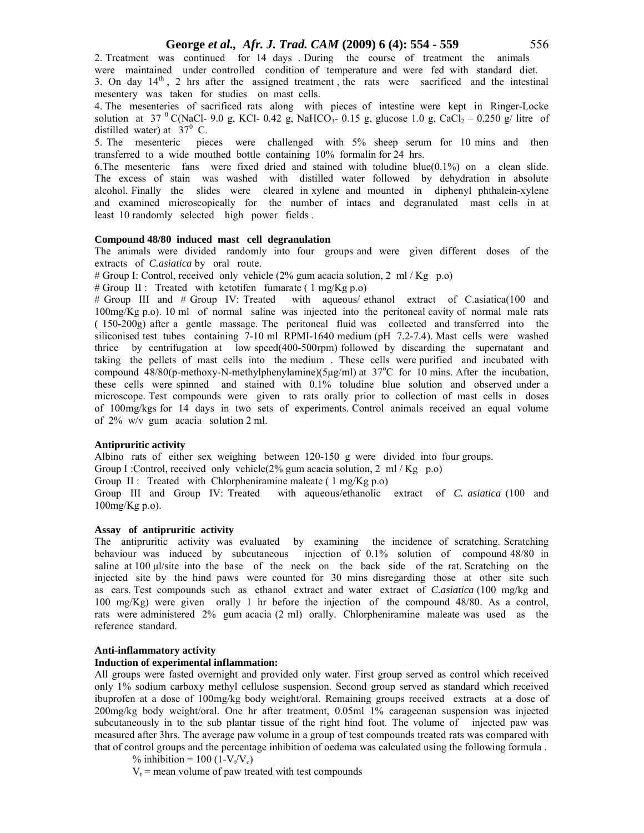2. Treatment was continued for 14 days . During the course of treatment the animals were maintained under controlled condition of temperature and were fed with standard diet. 3. On day  $14<sup>th</sup>$ , 2 hrs after the assigned treatment, the rats were sacrificed and the intestinal mesentery was taken for studies on mast cells.

4. The mesenteries of sacrificed rats along with pieces of intestine were kept in Ringer-Locke solution at 37 <sup>0</sup> C(NaCl- 9.0 g, KCl- 0.42 g, NaHCO<sub>3</sub>- 0.15 g, glucose 1.0 g, CaCl<sub>2</sub> – 0.250 g/ litre of distilled water) at  $37^{\circ}$  C.

5. The mesenteric pieces were challenged with 5% sheep serum for 10 mins and then transferred to a wide mouthed bottle containing 10% formalin for 24 hrs.

6.The mesenteric fans were fixed dried and stained with toludine blue(0.1%) on a clean slide. The excess of stain was washed with distilled water followed by dehydration in absolute alcohol. Finally the slides were cleared in xylene and mounted in diphenyl phthalein-xylene and examined microscopically for the number of intacs and degranulated mast cells in at least 10 randomly selected high power fields .

## **Compound 48/80 induced mast cell degranulation**

The animals were divided randomly into four groups and were given different doses of the extracts of *C.asiatica* by oral route.

# Group I: Control, received only vehicle (2% gum acacia solution, 2 ml / Kg p.o)

# Group II : Treated with ketotifen fumarate  $(1 \text{ mg/Kg p.o})$ 

# Group III and # Group IV: Treated with aqueous/ ethanol extract of C.asiatica(100 and 100mg/Kg p.o). 10 ml of normal saline was injected into the peritoneal cavity of normal male rats ( 150-200g) after a gentle massage. The peritoneal fluid was collected and transferred into the siliconised test tubes containing 7-10 ml RPMI-1640 medium (pH 7.2-7.4). Mast cells were washed thrice by centrifugation at low speed(400-500rpm) followed by discarding the supernatant and taking the pellets of mast cells into the medium . These cells were purified and incubated with compound  $48/80(p$ -methoxy-N-methylphenylamine)(5µg/ml) at 37°C for 10 mins. After the incubation, these cells were spinned and stained with 0.1% toludine blue solution and observed under a microscope. Test compounds were given to rats orally prior to collection of mast cells in doses of 100mg/kgs for 14 days in two sets of experiments. Control animals received an equal volume of 2% w/v gum acacia solution 2 ml.

### **Antipruritic activity**

Albino rats of either sex weighing between 120-150 g were divided into four groups.

Group I :Control, received only vehicle( $2\%$  gum acacia solution,  $2 \text{ ml} /$  Kg p.o)

Group II : Treated with Chlorpheniramine maleate (1 mg/Kg p.o)

Group III and Group IV: Treated with aqueous/ethanolic extract of *C. asiatica* (100 and 100mg/Kg p.o).

## **Assay of antipruritic activity**

The antipruritic activity was evaluated by examining the incidence of scratching. Scratching behaviour was induced by subcutaneous injection of 0.1% solution of compound 48/80 in saline at 100 μl/site into the base of the neck on the back side of the rat. Scratching on the injected site by the hind paws were counted for 30 mins disregarding those at other site such as ears. Test compounds such as ethanol extract and water extract of *C.asiatica* (100 mg/kg and 100 mg/Kg) were given orally 1 hr before the injection of the compound 48/80. As a control, rats were administered 2% gum acacia (2 ml) orally. Chlorpheniramine maleate was used as the reference standard.

#### **Anti-inflammatory activity**

## **Induction of experimental inflammation:**

All groups were fasted overnight and provided only water. First group served as control which received only 1% sodium carboxy methyl cellulose suspension. Second group served as standard which received ibuprofen at a dose of 100mg/kg body weight/oral. Remaining groups received extracts at a dose of 200mg/kg body weight/oral. One hr after treatment, 0.05ml 1% carageenan suspension was injected subcutaneously in to the sub plantar tissue of the right hind foot. The volume of injected paw was measured after 3hrs. The average paw volume in a group of test compounds treated rats was compared with that of control groups and the percentage inhibition of oedema was calculated using the following formula .

% inhibition =  $100 (1-V_{t}/V_{c})$ 

 $V_t$  = mean volume of paw treated with test compounds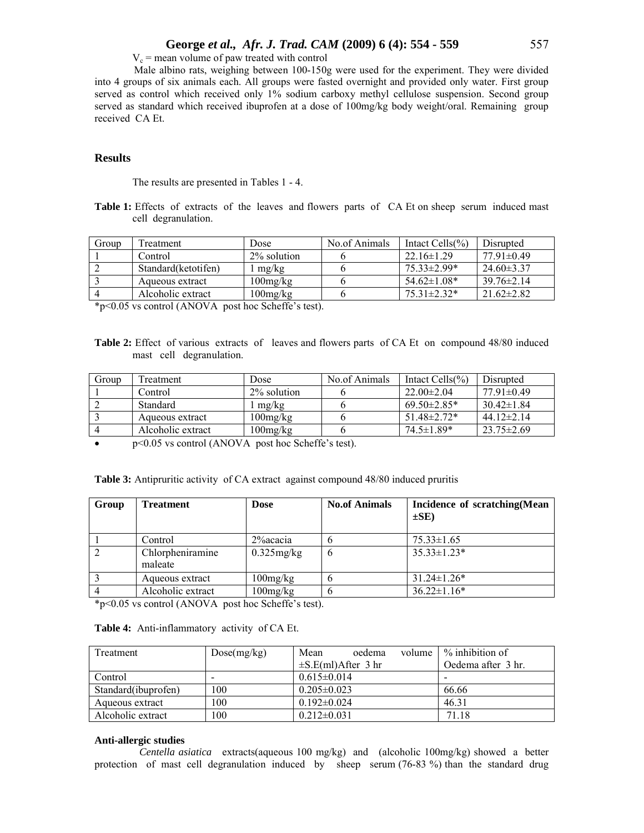$V_c$  = mean volume of paw treated with control

 Male albino rats, weighing between 100-150g were used for the experiment. They were divided into 4 groups of six animals each. All groups were fasted overnight and provided only water. First group served as control which received only 1% sodium carboxy methyl cellulose suspension. Second group served as standard which received ibuprofen at a dose of 100mg/kg body weight/oral. Remaining group received CA Et.

## **Results**

The results are presented in Tables 1 - 4.

**Table 1:** Effects of extracts of the leaves and flowers parts of CA Et on sheep serum induced mast cell degranulation.

| Group | Treatment           | Dose        | No of Animals | Intact Cells $\frac{0}{0}$ | Disrupted        |
|-------|---------------------|-------------|---------------|----------------------------|------------------|
|       | Control             | 2% solution |               | $22.16 \pm 1.29$           | 77.91±0.49       |
|       | Standard(ketotifen) | mg/kg       |               | $75.33 \pm 2.99*$          | $24.60 \pm 3.37$ |
|       | Aqueous extract     | $100$ mg/kg |               | $54.62\pm1.08*$            | $39.76 \pm 2.14$ |
|       | Alcoholic extract   | 100mg/kg    |               | $75.31 \pm 2.32*$          | $21.62 \pm 2.82$ |

\*p<0.05 vs control (ANOVA post hoc Scheffe's test).

**Table 2:** Effect of various extracts of leaves and flowers parts of CA Et on compound 48/80 induced mast cell degranulation.

| Group | Treatment         | Dose        | No of Animals | Intact Cells $(\% )$ | Disrupted        |
|-------|-------------------|-------------|---------------|----------------------|------------------|
|       | Control           | 2% solution |               | $22.00 \pm 2.04$     | $77.91 \pm 0.49$ |
|       | Standard          | . mg/kg     |               | $69.50 \pm 2.85*$    | $30.42 \pm 1.84$ |
|       | Aqueous extract   | $100$ mg/kg |               | $51.48 \pm 2.72*$    | 44.12 $\pm$ 2.14 |
|       | Alcoholic extract | 100mg/kg    |               | $74.5 \pm 1.89*$     | $23.75 \pm 2.69$ |

• p<0.05 vs control (ANOVA post hoc Scheffe's test).

| Table 3: Antipruritic activity of CA extract against compound 48/80 induced pruritis |  |  |  |  |
|--------------------------------------------------------------------------------------|--|--|--|--|
|--------------------------------------------------------------------------------------|--|--|--|--|

| Group | Treatment                   | <b>Dose</b>    | <b>No.of Animals</b> | Incidence of scratching(Mean<br>$\pm$ SE) |
|-------|-----------------------------|----------------|----------------------|-------------------------------------------|
|       | Control                     | 2% acacia      | b                    | $75.33 \pm 1.65$                          |
|       | Chlorpheniramine<br>maleate | $0.325$ mg/kg  | 6                    | $35.33 \pm 1.23*$                         |
|       | Aqueous extract             | $100$ mg/ $kg$ | b                    | $31.24 \pm 1.26*$                         |
|       | Alcoholic extract           | $100$ mg/ $kg$ | O                    | $36.22 \pm 1.16*$                         |

\*p<0.05 vs control (ANOVA post hoc Scheffe's test).

**Table 4:** Anti-inflammatory activity of CA Et.

| Treatment           | Dose(mg/kg) | Mean<br>oedema          | volume | % inhibition of    |
|---------------------|-------------|-------------------------|--------|--------------------|
|                     |             | $\pm$ S.E(ml)After 3 hr |        | Oedema after 3 hr. |
| Control             | -           | $0.615 \pm 0.014$       |        | -                  |
| Standard(ibuprofen) | 100         | $0.205 \pm 0.023$       | 66.66  |                    |
| Aqueous extract     | 100         | $0.192 \pm 0.024$       |        | 46.31              |
| Alcoholic extract   | 100         | $0.212 \pm 0.031$       |        | 71.18              |

## **Anti-allergic studies**

 *Centella asiatica* extracts(aqueous 100 mg/kg) and (alcoholic 100mg/kg) showed a better protection of mast cell degranulation induced by sheep serum (76-83 %) than the standard drug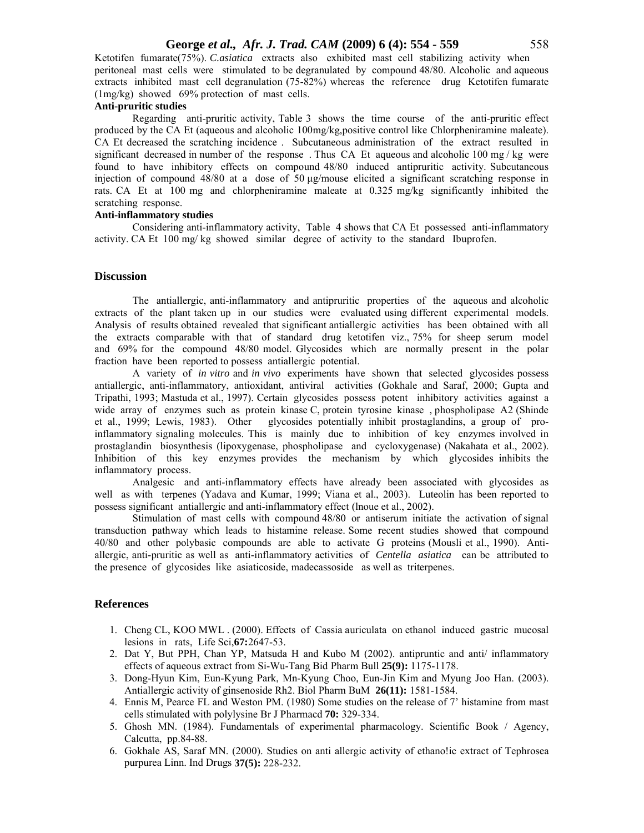## **George** *et al.,**Afr. J. Trad. CAM* **(2009) 6 (4): 554 - 559** 558

Ketotifen fumarate(75%). *C.asiatica* extracts also exhibited mast cell stabilizing activity when peritoneal mast cells were stimulated to be degranulated by compound 48/80. Alcoholic and aqueous extracts inhibited mast cell degranulation (75-82%) whereas the reference drug Ketotifen fumarate (1mg/kg) showed 69% protection of mast cells.

## **Anti-pruritic studies**

Regarding anti-pruritic activity, Table 3 shows the time course of the anti-pruritic effect produced by the CA Et (aqueous and alcoholic 100mg/kg,positive control like Chlorpheniramine maleate). CA Et decreased the scratching incidence . Subcutaneous administration of the extract resulted in significant decreased in number of the response. Thus CA Et aqueous and alcoholic 100 mg/kg were found to have inhibitory effects on compound 48/80 induced antipruritic activity. Subcutaneous injection of compound 48/80 at a dose of 50 μg/mouse elicited a significant scratching response in rats. CA Et at 100 mg and chlorpheniramine maleate at 0.325 mg/kg significantly inhibited the scratching response.

#### **Anti-inflammatory studies**

Considering anti-inflammatory activity, Table 4 shows that CA Et possessed anti-inflammatory activity. CA Et 100 mg/ kg showed similar degree of activity to the standard Ibuprofen.

#### **Discussion**

The antiallergic, anti-inflammatory and antipruritic properties of the aqueous and alcoholic extracts of the plant taken up in our studies were evaluated using different experimental models. Analysis of results obtained revealed that significant antiallergic activities has been obtained with all the extracts comparable with that of standard drug ketotifen viz., 75% for sheep serum model and 69% for the compound 48/80 model. Glycosides which are normally present in the polar fraction have been reported to possess antiallergic potential.

A variety of *in vitro* and *in vivo* experiments have shown that selected glycosides possess antiallergic, anti-inflammatory, antioxidant, antiviral activities (Gokhale and Saraf, 2000; Gupta and Tripathi, 1993; Mastuda et al., 1997). Certain glycosides possess potent inhibitory activities against a wide array of enzymes such as protein kinase C, protein tyrosine kinase, phospholipase A2 (Shinde et al., 1999; Lewis, 1983). Other glycosides potentially inhibit prostaglandins, a group of proinflammatory signaling molecules. This is mainly due to inhibition of key enzymes involved in prostaglandin biosynthesis (lipoxygenase, phospholipase and cycloxygenase) (Nakahata et al., 2002). Inhibition of this key enzymes provides the mechanism by which glycosides inhibits the inflammatory process.

Analgesic and anti-inflammatory effects have already been associated with glycosides as well as with terpenes (Yadava and Kumar, 1999; Viana et al., 2003). Luteolin has been reported to possess significant antiallergic and anti-inflammatory effect (lnoue et al., 2002).

Stimulation of mast cells with compound 48/80 or antiserum initiate the activation of signal transduction pathway which leads to histamine release. Some recent studies showed that compound 40/80 and other polybasic compounds are able to activate G proteins (Mousli et al., 1990). Antiallergic, anti-pruritic as well as anti-inflammatory activities of *Centella asiatica* can be attributed to the presence of glycosides like asiaticoside, madecassoside as well as triterpenes.

## **References**

- 1. Cheng CL, KOO MWL . (2000). Effects of Cassia auriculata on ethanol induced gastric mucosal lesions in rats, Life Sci,**67:**2647-53.
- 2. Dat Y, But PPH, Chan YP, Matsuda H and Kubo M (2002). antipruntic and anti/ inflammatory effects of aqueous extract from Si-Wu-Tang Bid Pharm Bull **25(9):** 1175-1178.
- 3. Dong-Hyun Kim, Eun-Kyung Park, Mn-Kyung Choo, Eun-Jin Kim and Myung Joo Han. (2003). Antiallergic activity of ginsenoside Rh2. Biol Pharm BuM **26(11):** 1581-1584.
- 4. Ennis M, Pearce FL and Weston PM. (1980) Some studies on the release of 7' histamine from mast cells stimulated with polylysine Br J Pharmacd **70:** 329-334.
- 5. Ghosh MN. (1984). Fundamentals of experimental pharmacology. Scientific Book / Agency, Calcutta, pp.84-88.
- 6. Gokhale AS, Saraf MN. (2000). Studies on anti allergic activity of ethano!ic extract of Tephrosea purpurea Linn. Ind Drugs **37(5):** 228-232.